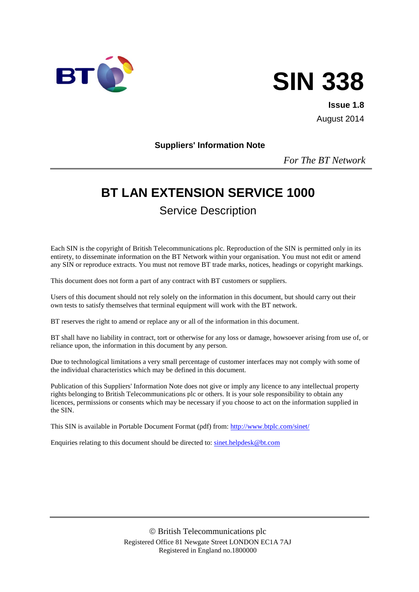



**Issue 1.8** August 2014

#### **Suppliers' Information Note**

*For The BT Network*

# **BT LAN EXTENSION SERVICE 1000**

Service Description

Each SIN is the copyright of British Telecommunications plc. Reproduction of the SIN is permitted only in its entirety, to disseminate information on the BT Network within your organisation. You must not edit or amend any SIN or reproduce extracts. You must not remove BT trade marks, notices, headings or copyright markings.

This document does not form a part of any contract with BT customers or suppliers.

Users of this document should not rely solely on the information in this document, but should carry out their own tests to satisfy themselves that terminal equipment will work with the BT network.

BT reserves the right to amend or replace any or all of the information in this document.

BT shall have no liability in contract, tort or otherwise for any loss or damage, howsoever arising from use of, or reliance upon, the information in this document by any person.

Due to technological limitations a very small percentage of customer interfaces may not comply with some of the individual characteristics which may be defined in this document.

Publication of this Suppliers' Information Note does not give or imply any licence to any intellectual property rights belonging to British Telecommunications plc or others. It is your sole responsibility to obtain any licences, permissions or consents which may be necessary if you choose to act on the information supplied in the SIN.

This SIN is available in Portable Document Format (pdf) from:<http://www.btplc.com/sinet/>

Enquiries relating to this document should be directed to: [sinet.helpdesk@bt.com](mailto:sinet.helpdesk@bt.com)

 British Telecommunications plc Registered Office 81 Newgate Street LONDON EC1A 7AJ Registered in England no.1800000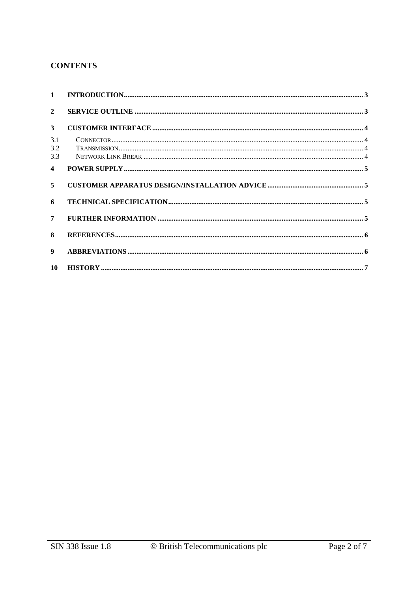### **CONTENTS**

| $\mathbf{1}$            |  |
|-------------------------|--|
| $\overline{2}$          |  |
| $\mathbf{3}$            |  |
| 3.1<br>3.2<br>3.3       |  |
| $\overline{\mathbf{4}}$ |  |
| 5                       |  |
| 6                       |  |
| 7                       |  |
| 8                       |  |
| 9                       |  |
| 10                      |  |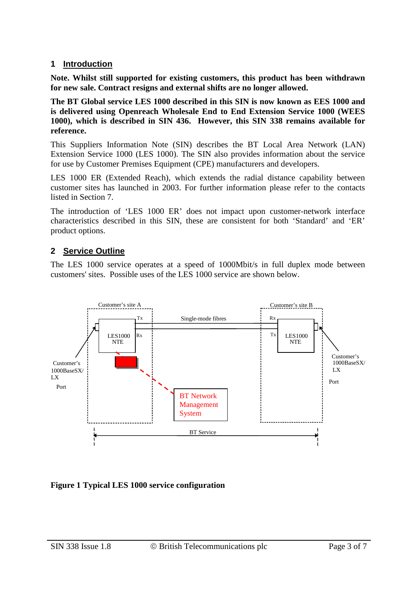#### **1 Introduction**

**Note. Whilst still supported for existing customers, this product has been withdrawn for new sale. Contract resigns and external shifts are no longer allowed.**

**The BT Global service LES 1000 described in this SIN is now known as EES 1000 and is delivered using Openreach Wholesale End to End Extension Service 1000 (WEES 1000), which is described in SIN 436. However, this SIN 338 remains available for reference.**

This Suppliers Information Note (SIN) describes the BT Local Area Network (LAN) Extension Service 1000 (LES 1000). The SIN also provides information about the service for use by Customer Premises Equipment (CPE) manufacturers and developers.

LES 1000 ER (Extended Reach), which extends the radial distance capability between customer sites has launched in 2003. For further information please refer to the contacts listed in Section 7.

The introduction of 'LES 1000 ER' does not impact upon customer-network interface characteristics described in this SIN, these are consistent for both 'Standard' and 'ER' product options.

# **2 Service Outline**

The LES 1000 service operates at a speed of 1000Mbit/s in full duplex mode between customers' sites. Possible uses of the LES 1000 service are shown below.



**Figure 1 Typical LES 1000 service configuration**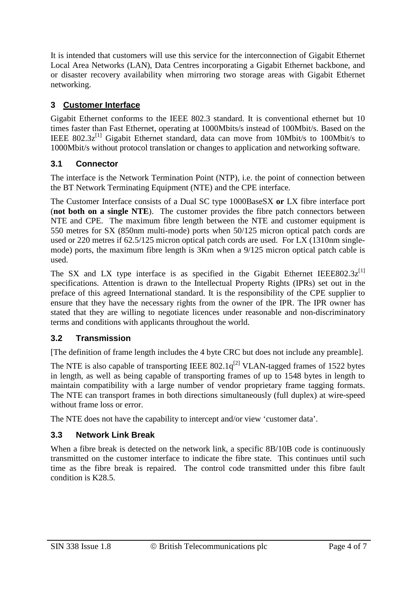It is intended that customers will use this service for the interconnection of Gigabit Ethernet Local Area Networks (LAN), Data Centres incorporating a Gigabit Ethernet backbone, and or disaster recovery availability when mirroring two storage areas with Gigabit Ethernet networking.

# **3 Customer Interface**

Gigabit Ethernet conforms to the IEEE 802.3 standard. It is conventional ethernet but 10 times faster than Fast Ethernet, operating at 1000Mbits/s instead of 100Mbit/s. Based on the IEEE  $802.3z^{[1]}$  Gigabit Ethernet standard, data can move from 10Mbit/s to 100Mbit/s to 1000Mbit/s without protocol translation or changes to application and networking software.

# **3.1 Connector**

The interface is the Network Termination Point (NTP), i.e. the point of connection between the BT Network Terminating Equipment (NTE) and the CPE interface.

The Customer Interface consists of a Dual SC type 1000BaseSX **or** LX fibre interface port (**not both on a single NTE**). The customer provides the fibre patch connectors between NTE and CPE. The maximum fibre length between the NTE and customer equipment is 550 metres for SX (850nm multi-mode) ports when 50/125 micron optical patch cords are used or 220 metres if 62.5/125 micron optical patch cords are used. For LX (1310nm singlemode) ports, the maximum fibre length is 3Km when a 9/125 micron optical patch cable is used.

The SX and LX type interface is as specified in the Gigabit Ethernet IEEE802.3 $z^{[1]}$ specifications. Attention is drawn to the Intellectual Property Rights (IPRs) set out in the preface of this agreed International standard. It is the responsibility of the CPE supplier to ensure that they have the necessary rights from the owner of the IPR. The IPR owner has stated that they are willing to negotiate licences under reasonable and non-discriminatory terms and conditions with applicants throughout the world.

# **3.2 Transmission**

[The definition of frame length includes the 4 byte CRC but does not include any preamble].

The NTE is also capable of transporting IEEE  $802.1q^{[2]}$  VLAN-tagged frames of 1522 bytes in length, as well as being capable of transporting frames of up to 1548 bytes in length to maintain compatibility with a large number of vendor proprietary frame tagging formats. The NTE can transport frames in both directions simultaneously (full duplex) at wire-speed without frame loss or error.

The NTE does not have the capability to intercept and/or view 'customer data'.

### **3.3 Network Link Break**

When a fibre break is detected on the network link, a specific 8B/10B code is continuously transmitted on the customer interface to indicate the fibre state. This continues until such time as the fibre break is repaired. The control code transmitted under this fibre fault condition is K28.5.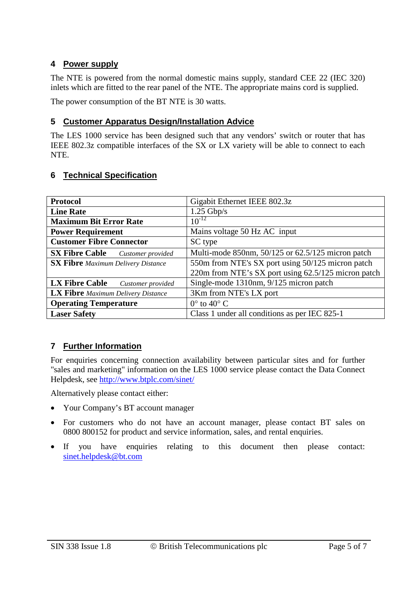### **4 Power supply**

The NTE is powered from the normal domestic mains supply, standard CEE 22 (IEC 320) inlets which are fitted to the rear panel of the NTE. The appropriate mains cord is supplied.

The power consumption of the BT NTE is 30 watts.

#### **5 Customer Apparatus Design/Installation Advice**

The LES 1000 service has been designed such that any vendors' switch or router that has IEEE 802.3z compatible interfaces of the SX or LX variety will be able to connect to each NTE.

#### **6 Technical Specification**

| <b>Protocol</b>                            | Gigabit Ethernet IEEE 802.3z                        |
|--------------------------------------------|-----------------------------------------------------|
| <b>Line Rate</b>                           | $1.25$ Gbp/s                                        |
| <b>Maximum Bit Error Rate</b>              | $10^{-12}$                                          |
| <b>Power Requirement</b>                   | Mains voltage 50 Hz AC input                        |
| <b>Customer Fibre Connector</b>            | SC type                                             |
| <b>SX Fibre Cable</b><br>Customer provided | Multi-mode 850nm, 50/125 or 62.5/125 micron patch   |
| <b>SX Fibre</b> Maximum Delivery Distance  | 550m from NTE's SX port using 50/125 micron patch   |
|                                            | 220m from NTE's SX port using 62.5/125 micron patch |
| <b>LX Fibre Cable</b><br>Customer provided | Single-mode 1310nm, 9/125 micron patch              |
| <b>LX Fibre</b> Maximum Delivery Distance  | 3Km from NTE's LX port                              |
| <b>Operating Temperature</b>               | $0^{\circ}$ to $40^{\circ}$ C                       |
| <b>Laser Safety</b>                        | Class 1 under all conditions as per IEC 825-1       |

### **7 Further Information**

For enquiries concerning connection availability between particular sites and for further "sales and marketing" information on the LES 1000 service please contact the Data Connect Helpdesk, see<http://www.btplc.com/sinet/>

Alternatively please contact either:

- Your Company's BT account manager
- For customers who do not have an account manager, please contact BT sales on 0800 800152 for product and service information, sales, and rental enquiries.
- If you have enquiries relating to this document then please contact: [sinet.helpdesk@bt.com](mailto:sinet.helpdesk@bt.com)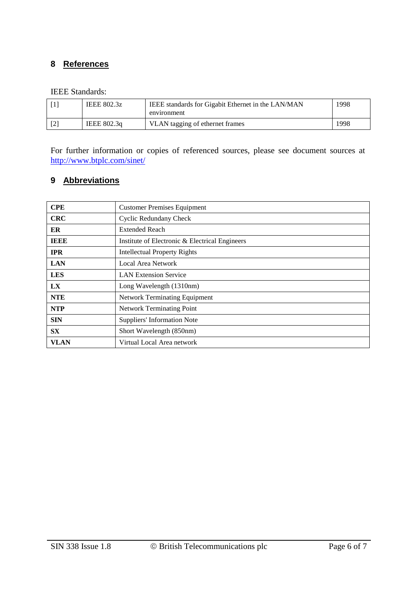#### **8 References**

#### IEEE Standards:

| IEEE 802.3z | IEEE standards for Gigabit Ethernet in the LAN/MAN<br>environment | 1998 |
|-------------|-------------------------------------------------------------------|------|
| IEEE 802.3q | VLAN tagging of ethernet frames                                   | 1998 |

For further information or copies of referenced sources, please see document sources at <http://www.btplc.com/sinet/>

#### **9 Abbreviations**

| <b>CPE</b>  | <b>Customer Premises Equipment</b>             |
|-------------|------------------------------------------------|
| <b>CRC</b>  | <b>Cyclic Redundany Check</b>                  |
| ER          | <b>Extended Reach</b>                          |
| <b>IEEE</b> | Institute of Electronic & Electrical Engineers |
| <b>IPR</b>  | <b>Intellectual Property Rights</b>            |
| <b>LAN</b>  | Local Area Network                             |
| <b>LES</b>  | <b>LAN</b> Extension Service                   |
| LX          | Long Wavelength (1310nm)                       |
| <b>NTE</b>  | <b>Network Terminating Equipment</b>           |
| <b>NTP</b>  | <b>Network Terminating Point</b>               |
| <b>SIN</b>  | <b>Suppliers' Information Note</b>             |
| <b>SX</b>   | Short Wavelength (850nm)                       |
| <b>VLAN</b> | Virtual Local Area network                     |